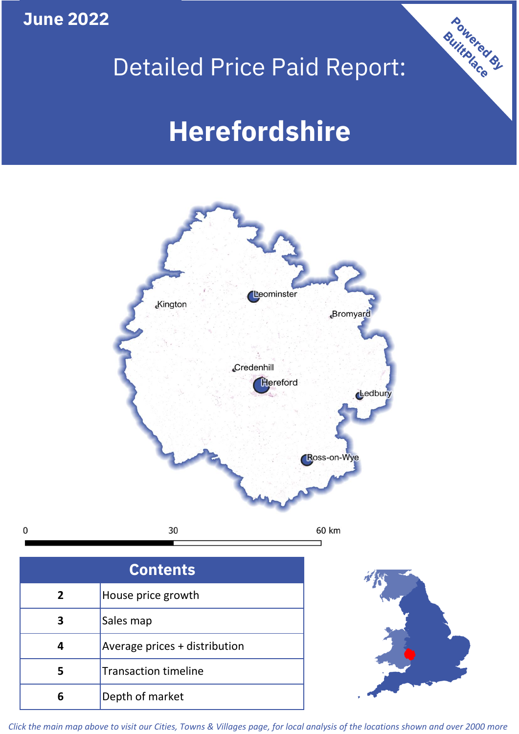**June 2022**

 $\mathbf 0$ 

# Detailed Price Paid Report:

# **Herefordshire**



| House price growth            |  |  |  |
|-------------------------------|--|--|--|
| Sales map                     |  |  |  |
| Average prices + distribution |  |  |  |
| <b>Transaction timeline</b>   |  |  |  |
| Depth of market               |  |  |  |



Powered By

*Click the main map above to visit our Cities, Towns & Villages page, for local analysis of the locations shown and over 2000 more*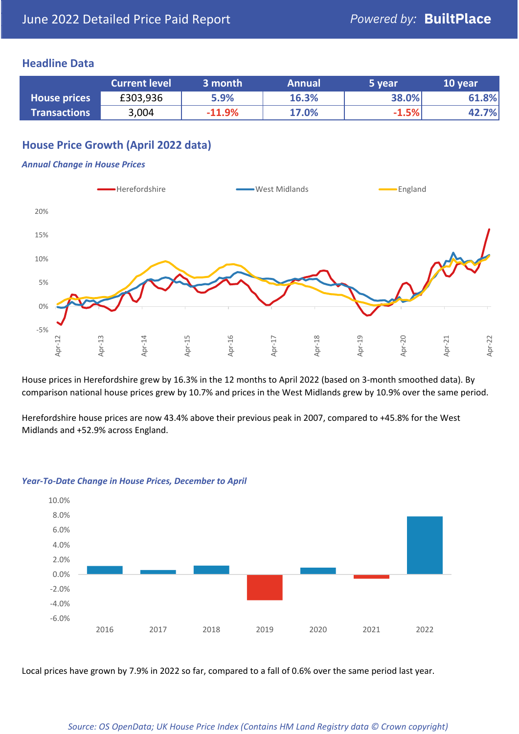### **Headline Data**

|                     | <b>Current level</b> | 3 month  | <b>Annual</b> | 5 year  | 10 year |
|---------------------|----------------------|----------|---------------|---------|---------|
| <b>House prices</b> | £303,936             | 5.9%     | 16.3%         | 38.0%   | 61.8%   |
| <b>Transactions</b> | 3,004                | $-11.9%$ | 17.0%         | $-1.5%$ | 42.7%   |

# **House Price Growth (April 2022 data)**

#### *Annual Change in House Prices*



House prices in Herefordshire grew by 16.3% in the 12 months to April 2022 (based on 3-month smoothed data). By comparison national house prices grew by 10.7% and prices in the West Midlands grew by 10.9% over the same period.

Herefordshire house prices are now 43.4% above their previous peak in 2007, compared to +45.8% for the West Midlands and +52.9% across England.



#### *Year-To-Date Change in House Prices, December to April*

Local prices have grown by 7.9% in 2022 so far, compared to a fall of 0.6% over the same period last year.

#### *Source: OS OpenData; UK House Price Index (Contains HM Land Registry data © Crown copyright)*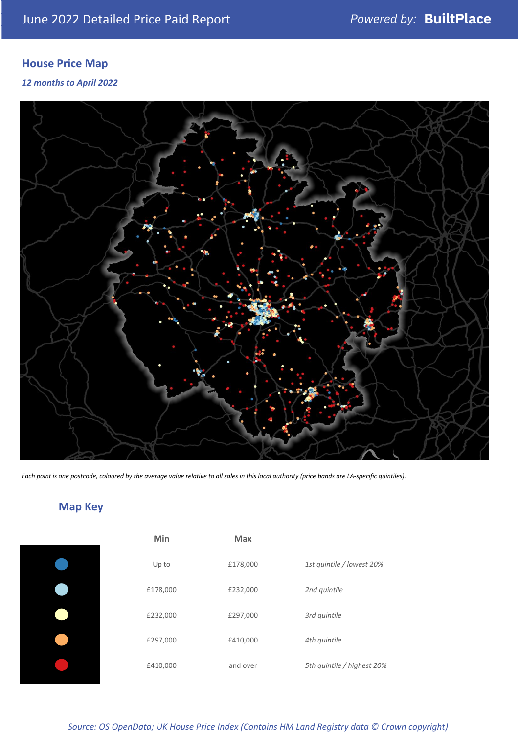# **House Price Map**

*12 months to April 2022*



*Each point is one postcode, coloured by the average value relative to all sales in this local authority (price bands are LA-specific quintiles).*

# **Map Key**

| Min      |
|----------|
| Up to    |
| £178,000 |
| £232,000 |
| £297,000 |
| £410,000 |
|          |

| Min      | <b>Max</b> |                            |
|----------|------------|----------------------------|
| Up to    | £178,000   | 1st quintile / lowest 20%  |
| £178,000 | £232,000   | 2nd quintile               |
| £232,000 | £297,000   | 3rd quintile               |
| £297,000 | £410,000   | 4th quintile               |
| £410,000 | and over   | 5th quintile / highest 20% |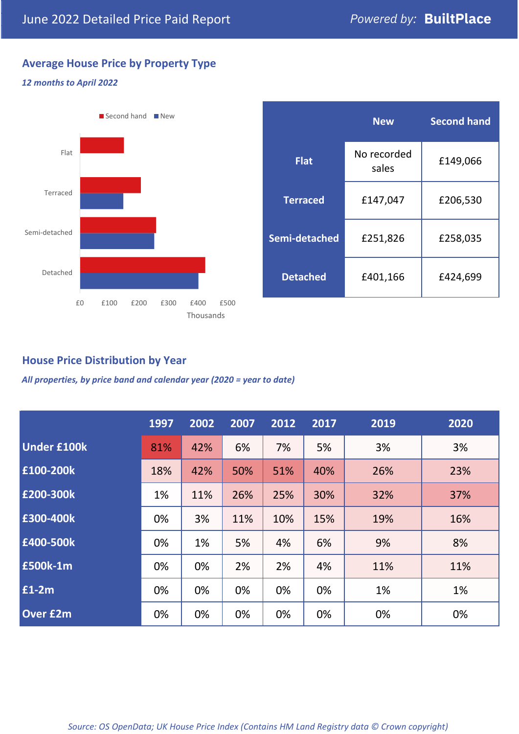# **Average House Price by Property Type**

#### *12 months to April 2022*



|                 | <b>New</b>           | <b>Second hand</b> |  |  |
|-----------------|----------------------|--------------------|--|--|
| <b>Flat</b>     | No recorded<br>sales | £149,066           |  |  |
| <b>Terraced</b> | £147,047             | £206,530           |  |  |
| Semi-detached   | £251,826             | £258,035           |  |  |
| <b>Detached</b> | £401,166             | £424,699           |  |  |

## **House Price Distribution by Year**

*All properties, by price band and calendar year (2020 = year to date)*

|                    | 1997 | 2002 | 2007 | 2012 | 2017 | 2019 | 2020 |
|--------------------|------|------|------|------|------|------|------|
| <b>Under £100k</b> | 81%  | 42%  | 6%   | 7%   | 5%   | 3%   | 3%   |
| £100-200k          | 18%  | 42%  | 50%  | 51%  | 40%  | 26%  | 23%  |
| E200-300k          | 1%   | 11%  | 26%  | 25%  | 30%  | 32%  | 37%  |
| £300-400k          | 0%   | 3%   | 11%  | 10%  | 15%  | 19%  | 16%  |
| £400-500k          | 0%   | 1%   | 5%   | 4%   | 6%   | 9%   | 8%   |
| <b>£500k-1m</b>    | 0%   | 0%   | 2%   | 2%   | 4%   | 11%  | 11%  |
| £1-2m              | 0%   | 0%   | 0%   | 0%   | 0%   | 1%   | 1%   |
| <b>Over £2m</b>    | 0%   | 0%   | 0%   | 0%   | 0%   | 0%   | 0%   |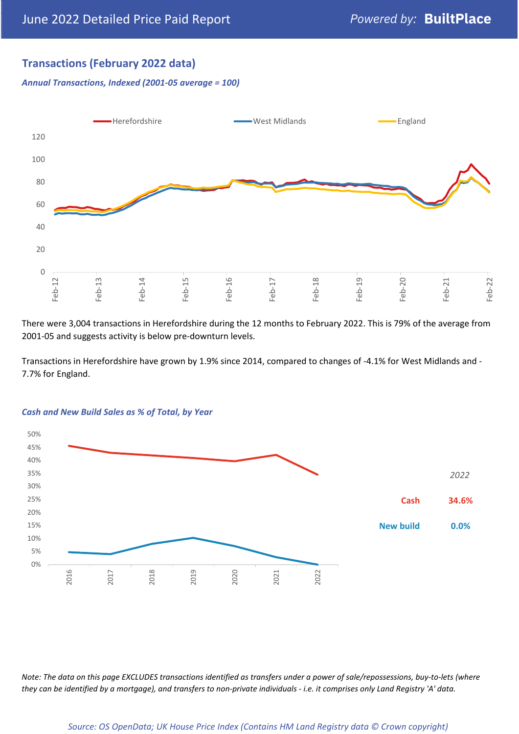## **Transactions (February 2022 data)**

*Annual Transactions, Indexed (2001-05 average = 100)*



There were 3,004 transactions in Herefordshire during the 12 months to February 2022. This is 79% of the average from 2001-05 and suggests activity is below pre-downturn levels.

Transactions in Herefordshire have grown by 1.9% since 2014, compared to changes of -4.1% for West Midlands and - 7.7% for England.



#### *Cash and New Build Sales as % of Total, by Year*

*Note: The data on this page EXCLUDES transactions identified as transfers under a power of sale/repossessions, buy-to-lets (where they can be identified by a mortgage), and transfers to non-private individuals - i.e. it comprises only Land Registry 'A' data.*